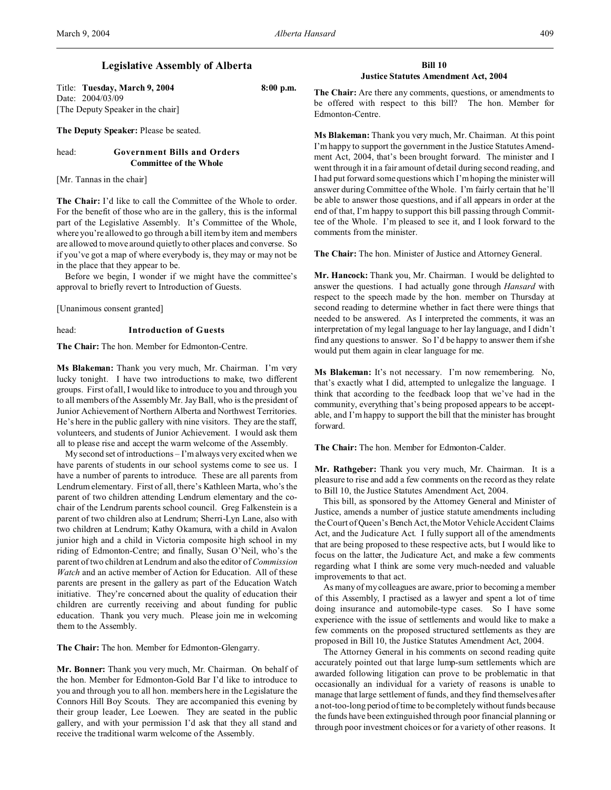Title: **Tuesday, March 9, 2004 8:00 p.m.** Date: 2004/03/09 [The Deputy Speaker in the chair]

**The Deputy Speaker:** Please be seated.

# head: **Government Bills and Orders Committee of the Whole**

[Mr. Tannas in the chair]

**The Chair:** I'd like to call the Committee of the Whole to order. For the benefit of those who are in the gallery, this is the informal part of the Legislative Assembly. It's Committee of the Whole, where you're allowed to go through a bill item by item and members are allowed to move around quietly to other places and converse. So if you've got a map of where everybody is, they may or may not be in the place that they appear to be.

Before we begin, I wonder if we might have the committee's approval to briefly revert to Introduction of Guests.

[Unanimous consent granted]

head: **Introduction of Guests**

**The Chair:** The hon. Member for Edmonton-Centre.

**Ms Blakeman:** Thank you very much, Mr. Chairman. I'm very lucky tonight. I have two introductions to make, two different groups. First of all, I would like to introduce to you and through you to all members of the Assembly Mr. Jay Ball, who is the president of Junior Achievement of Northern Alberta and Northwest Territories. He's here in the public gallery with nine visitors. They are the staff, volunteers, and students of Junior Achievement. I would ask them all to please rise and accept the warm welcome of the Assembly.

My second set of introductions – I'm always very excited when we have parents of students in our school systems come to see us. I have a number of parents to introduce. These are all parents from Lendrum elementary. First of all, there's Kathleen Marta, who's the parent of two children attending Lendrum elementary and the cochair of the Lendrum parents school council. Greg Falkenstein is a parent of two children also at Lendrum; Sherri-Lyn Lane, also with two children at Lendrum; Kathy Okamura, with a child in Avalon junior high and a child in Victoria composite high school in my riding of Edmonton-Centre; and finally, Susan O'Neil, who's the parent of two children at Lendrum and also the editor of *Commission Watch* and an active member of Action for Education. All of these parents are present in the gallery as part of the Education Watch initiative. They're concerned about the quality of education their children are currently receiving and about funding for public education. Thank you very much. Please join me in welcoming them to the Assembly.

**The Chair:** The hon. Member for Edmonton-Glengarry.

**Mr. Bonner:** Thank you very much, Mr. Chairman. On behalf of the hon. Member for Edmonton-Gold Bar I'd like to introduce to you and through you to all hon. members here in the Legislature the Connors Hill Boy Scouts. They are accompanied this evening by their group leader, Lee Loewen. They are seated in the public gallery, and with your permission I'd ask that they all stand and receive the traditional warm welcome of the Assembly.

# **Bill 10 Justice Statutes Amendment Act, 2004**

**The Chair:** Are there any comments, questions, or amendments to be offered with respect to this bill? The hon. Member for Edmonton-Centre.

**Ms Blakeman:** Thank you very much, Mr. Chairman. At this point I'm happy to support the government in the Justice Statutes Amendment Act, 2004, that's been brought forward. The minister and I went through it in a fair amount of detail during second reading, and I had put forward some questions which I'm hoping the minister will answer during Committee of the Whole. I'm fairly certain that he'll be able to answer those questions, and if all appears in order at the end of that, I'm happy to support this bill passing through Committee of the Whole. I'm pleased to see it, and I look forward to the comments from the minister.

**The Chair:** The hon. Minister of Justice and Attorney General.

**Mr. Hancock:** Thank you, Mr. Chairman. I would be delighted to answer the questions. I had actually gone through *Hansard* with respect to the speech made by the hon. member on Thursday at second reading to determine whether in fact there were things that needed to be answered. As I interpreted the comments, it was an interpretation of my legal language to her lay language, and I didn't find any questions to answer. So I'd be happy to answer them if she would put them again in clear language for me.

**Ms Blakeman:** It's not necessary. I'm now remembering. No, that's exactly what I did, attempted to unlegalize the language. I think that according to the feedback loop that we've had in the community, everything that's being proposed appears to be acceptable, and I'm happy to support the bill that the minister has brought forward.

**The Chair:** The hon. Member for Edmonton-Calder.

**Mr. Rathgeber:** Thank you very much, Mr. Chairman. It is a pleasure to rise and add a few comments on the record as they relate to Bill 10, the Justice Statutes Amendment Act, 2004.

This bill, as sponsored by the Attorney General and Minister of Justice, amends a number of justice statute amendments including the Court of Queen's Bench Act, the Motor Vehicle Accident Claims Act, and the Judicature Act. I fully support all of the amendments that are being proposed to these respective acts, but I would like to focus on the latter, the Judicature Act, and make a few comments regarding what I think are some very much-needed and valuable improvements to that act.

As many of my colleagues are aware, prior to becoming a member of this Assembly, I practised as a lawyer and spent a lot of time doing insurance and automobile-type cases. So I have some experience with the issue of settlements and would like to make a few comments on the proposed structured settlements as they are proposed in Bill 10, the Justice Statutes Amendment Act, 2004.

The Attorney General in his comments on second reading quite accurately pointed out that large lump-sum settlements which are awarded following litigation can prove to be problematic in that occasionally an individual for a variety of reasons is unable to manage that large settlement of funds, and they find themselves after a not-too-long period of time to be completely without funds because the funds have been extinguished through poor financial planning or through poor investment choices or for a variety of other reasons. It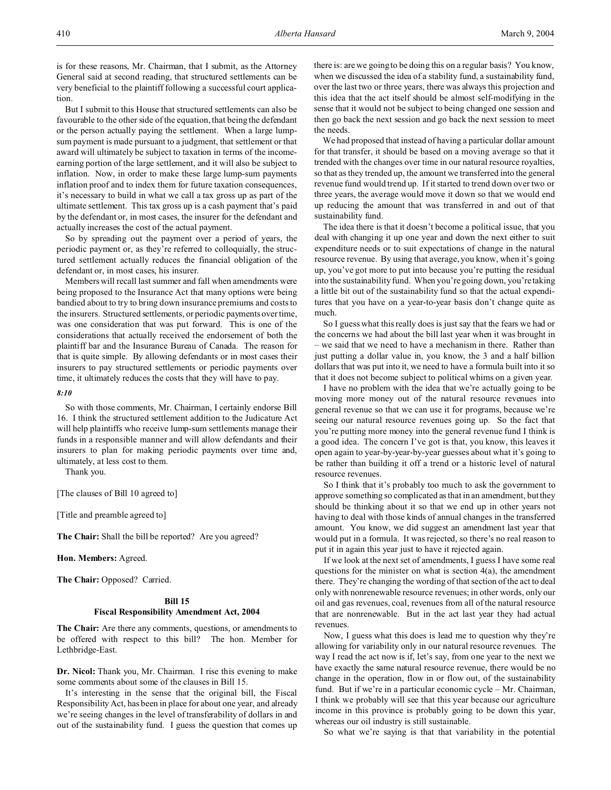is for these reasons, Mr. Chairman, that I submit, as the Attorney General said at second reading, that structured settlements can be very beneficial to the plaintiff following a successful court application.

But I submit to this House that structured settlements can also be favourable to the other side of the equation, that being the defendant or the person actually paying the settlement. When a large lumpsum payment is made pursuant to a judgment, that settlement or that award will ultimately be subject to taxation in terms of the incomeearning portion of the large settlement, and it will also be subject to inflation. Now, in order to make these large lump-sum payments inflation proof and to index them for future taxation consequences, it's necessary to build in what we call a tax gross up as part of the ultimate settlement. This tax gross up is a cash payment that's paid by the defendant or, in most cases, the insurer for the defendant and actually increases the cost of the actual payment.

So by spreading out the payment over a period of years, the periodic payment or, as they're referred to colloquially, the structured settlement actually reduces the financial obligation of the defendant or, in most cases, his insurer.

Members will recall last summer and fall when amendments were being proposed to the Insurance Act that many options were being bandied about to try to bring down insurance premiums and costs to the insurers. Structured settlements, or periodic payments over time, was one consideration that was put forward. This is one of the considerations that actually received the endorsement of both the plaintiff bar and the Insurance Bureau of Canada. The reason for that is quite simple. By allowing defendants or in most cases their insurers to pay structured settlements or periodic payments over time, it ultimately reduces the costs that they will have to pay.

# *8:10*

So with those comments, Mr. Chairman, I certainly endorse Bill 16. I think the structured settlement addition to the Judicature Act will help plaintiffs who receive lump-sum settlements manage their funds in a responsible manner and will allow defendants and their insurers to plan for making periodic payments over time and, ultimately, at less cost to them.

Thank you.

[The clauses of Bill 10 agreed to]

[Title and preamble agreed to]

**The Chair:** Shall the bill be reported? Are you agreed?

**Hon. Members:** Agreed.

**The Chair:** Opposed? Carried.

### **Bill 15**

#### **Fiscal Responsibility Amendment Act, 2004**

**The Chair:** Are there any comments, questions, or amendments to be offered with respect to this bill? The hon. Member for Lethbridge-East.

**Dr. Nicol:** Thank you, Mr. Chairman. I rise this evening to make some comments about some of the clauses in Bill 15.

It's interesting in the sense that the original bill, the Fiscal Responsibility Act, has been in place for about one year, and already we're seeing changes in the level of transferability of dollars in and out of the sustainability fund. I guess the question that comes up

there is: are we going to be doing this on a regular basis? You know, when we discussed the idea of a stability fund, a sustainability fund, over the last two or three years, there was always this projection and this idea that the act itself should be almost self-modifying in the sense that it would not be subject to being changed one session and then go back the next session and go back the next session to meet the needs.

We had proposed that instead of having a particular dollar amount for that transfer, it should be based on a moving average so that it trended with the changes over time in our natural resource royalties, so that as they trended up, the amount we transferred into the general revenue fund would trend up. If it started to trend down over two or three years, the average would move it down so that we would end up reducing the amount that was transferred in and out of that sustainability fund.

The idea there is that it doesn't become a political issue, that you deal with changing it up one year and down the next either to suit expenditure needs or to suit expectations of change in the natural resource revenue. By using that average, you know, when it's going up, you've got more to put into because you're putting the residual into the sustainability fund. When you're going down, you're taking a little bit out of the sustainability fund so that the actual expenditures that you have on a year-to-year basis don't change quite as much.

So I guess what this really does is just say that the fears we had or the concerns we had about the bill last year when it was brought in – we said that we need to have a mechanism in there. Rather than just putting a dollar value in, you know, the 3 and a half billion dollars that was put into it, we need to have a formula built into it so that it does not become subject to political whims on a given year.

I have no problem with the idea that we're actually going to be moving more money out of the natural resource revenues into general revenue so that we can use it for programs, because we're seeing our natural resource revenues going up. So the fact that you're putting more money into the general revenue fund I think is a good idea. The concern I've got is that, you know, this leaves it open again to year-by-year-by-year guesses about what it's going to be rather than building it off a trend or a historic level of natural resource revenues.

So I think that it's probably too much to ask the government to approve something so complicated as that in an amendment, but they should be thinking about it so that we end up in other years not having to deal with those kinds of annual changes in the transferred amount. You know, we did suggest an amendment last year that would put in a formula. It was rejected, so there's no real reason to put it in again this year just to have it rejected again.

If we look at the next set of amendments, I guess I have some real questions for the minister on what is section  $4(a)$ , the amendment there. They're changing the wording of that section of the act to deal only with nonrenewable resource revenues; in other words, only our oil and gas revenues, coal, revenues from all of the natural resource that are nonrenewable. But in the act last year they had actual revenues.

Now, I guess what this does is lead me to question why they're allowing for variability only in our natural resource revenues. The way I read the act now is if, let's say, from one year to the next we have exactly the same natural resource revenue, there would be no change in the operation, flow in or flow out, of the sustainability fund. But if we're in a particular economic cycle – Mr. Chairman, I think we probably will see that this year because our agriculture income in this province is probably going to be down this year, whereas our oil industry is still sustainable.

So what we're saying is that that variability in the potential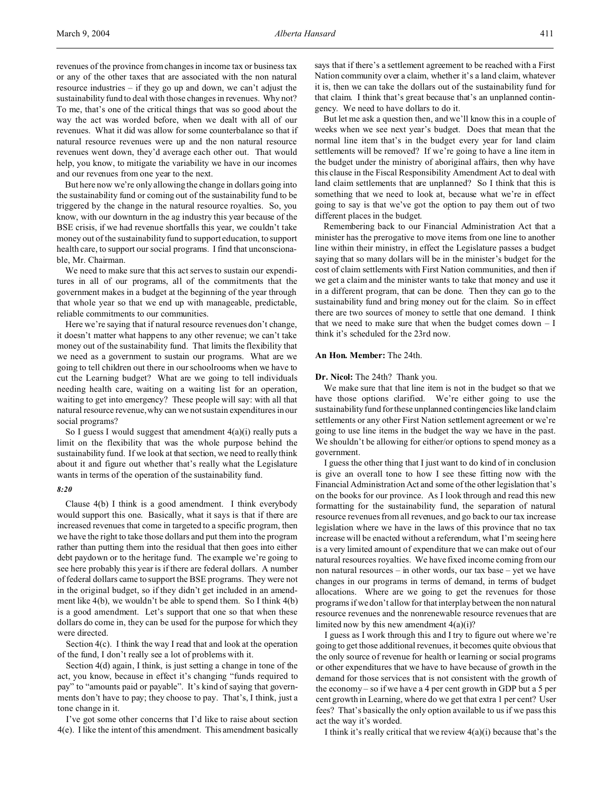revenues of the province from changes in income tax or business tax or any of the other taxes that are associated with the non natural resource industries – if they go up and down, we can't adjust the sustainability fund to deal with those changes in revenues. Why not? To me, that's one of the critical things that was so good about the way the act was worded before, when we dealt with all of our revenues. What it did was allow for some counterbalance so that if natural resource revenues were up and the non natural resource revenues went down, they'd average each other out. That would help, you know, to mitigate the variability we have in our incomes and our revenues from one year to the next.

But here now we're only allowing the change in dollars going into the sustainability fund or coming out of the sustainability fund to be triggered by the change in the natural resource royalties. So, you know, with our downturn in the ag industry this year because of the BSE crisis, if we had revenue shortfalls this year, we couldn't take money out of the sustainability fund to support education, to support health care, to support our social programs. I find that unconscionable, Mr. Chairman.

We need to make sure that this act serves to sustain our expenditures in all of our programs, all of the commitments that the government makes in a budget at the beginning of the year through that whole year so that we end up with manageable, predictable, reliable commitments to our communities.

Here we're saying that if natural resource revenues don't change, it doesn't matter what happens to any other revenue; we can't take money out of the sustainability fund. That limits the flexibility that we need as a government to sustain our programs. What are we going to tell children out there in our schoolrooms when we have to cut the Learning budget? What are we going to tell individuals needing health care, waiting on a waiting list for an operation, waiting to get into emergency? These people will say: with all that natural resource revenue, why can we not sustain expenditures in our social programs?

So I guess I would suggest that amendment  $4(a)(i)$  really puts a limit on the flexibility that was the whole purpose behind the sustainability fund. If we look at that section, we need to really think about it and figure out whether that's really what the Legislature wants in terms of the operation of the sustainability fund.

#### *8:20*

Clause 4(b) I think is a good amendment. I think everybody would support this one. Basically, what it says is that if there are increased revenues that come in targeted to a specific program, then we have the right to take those dollars and put them into the program rather than putting them into the residual that then goes into either debt paydown or to the heritage fund. The example we're going to see here probably this year is if there are federal dollars. A number of federal dollars came to support the BSE programs. They were not in the original budget, so if they didn't get included in an amendment like 4(b), we wouldn't be able to spend them. So I think 4(b) is a good amendment. Let's support that one so that when these dollars do come in, they can be used for the purpose for which they were directed.

Section 4(c). I think the way I read that and look at the operation of the fund, I don't really see a lot of problems with it.

Section 4(d) again, I think, is just setting a change in tone of the act, you know, because in effect it's changing "funds required to pay" to "amounts paid or payable". It's kind of saying that governments don't have to pay; they choose to pay. That's, I think, just a tone change in it.

I've got some other concerns that I'd like to raise about section 4(e). I like the intent of this amendment. This amendment basically says that if there's a settlement agreement to be reached with a First Nation community over a claim, whether it's a land claim, whatever it is, then we can take the dollars out of the sustainability fund for that claim. I think that's great because that's an unplanned contingency. We need to have dollars to do it.

But let me ask a question then, and we'll know this in a couple of weeks when we see next year's budget. Does that mean that the normal line item that's in the budget every year for land claim settlements will be removed? If we're going to have a line item in the budget under the ministry of aboriginal affairs, then why have this clause in the Fiscal Responsibility Amendment Act to deal with land claim settlements that are unplanned? So I think that this is something that we need to look at, because what we're in effect going to say is that we've got the option to pay them out of two different places in the budget.

Remembering back to our Financial Administration Act that a minister has the prerogative to move items from one line to another line within their ministry, in effect the Legislature passes a budget saying that so many dollars will be in the minister's budget for the cost of claim settlements with First Nation communities, and then if we get a claim and the minister wants to take that money and use it in a different program, that can be done. Then they can go to the sustainability fund and bring money out for the claim. So in effect there are two sources of money to settle that one demand. I think that we need to make sure that when the budget comes down  $- I$ think it's scheduled for the 23rd now.

# **An Hon. Member:** The 24th.

## **Dr. Nicol:** The 24th? Thank you.

We make sure that that line item is not in the budget so that we have those options clarified. We're either going to use the sustainability fund for these unplanned contingencies like land claim settlements or any other First Nation settlement agreement or we're going to use line items in the budget the way we have in the past. We shouldn't be allowing for either/or options to spend money as a government.

I guess the other thing that I just want to do kind of in conclusion is give an overall tone to how I see these fitting now with the Financial Administration Act and some of the other legislation that's on the books for our province. As I look through and read this new formatting for the sustainability fund, the separation of natural resource revenues from all revenues, and go back to our tax increase legislation where we have in the laws of this province that no tax increase will be enacted without a referendum, what I'm seeing here is a very limited amount of expenditure that we can make out of our natural resources royalties. We have fixed income coming from our non natural resources – in other words, our tax base – yet we have changes in our programs in terms of demand, in terms of budget allocations. Where are we going to get the revenues for those programs if we don't allow for that interplay between the non natural resource revenues and the nonrenewable resource revenues that are limited now by this new amendment  $4(a)(i)$ ?

I guess as I work through this and I try to figure out where we're going to get those additional revenues, it becomes quite obvious that the only source of revenue for health or learning or social programs or other expenditures that we have to have because of growth in the demand for those services that is not consistent with the growth of the economy – so if we have a 4 per cent growth in GDP but a 5 per cent growth in Learning, where do we get that extra 1 per cent? User fees? That's basically the only option available to us if we pass this act the way it's worded.

I think it's really critical that we review  $4(a)(i)$  because that's the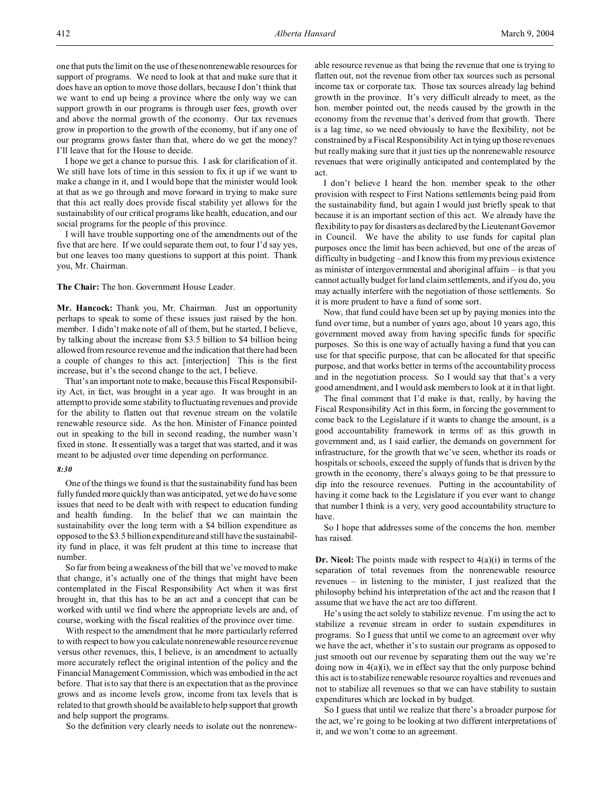one that puts the limit on the use of these nonrenewable resources for support of programs. We need to look at that and make sure that it does have an option to move those dollars, because I don't think that we want to end up being a province where the only way we can support growth in our programs is through user fees, growth over and above the normal growth of the economy. Our tax revenues grow in proportion to the growth of the economy, but if any one of our programs grows faster than that, where do we get the money? I'll leave that for the House to decide.

I hope we get a chance to pursue this. I ask for clarification of it. We still have lots of time in this session to fix it up if we want to make a change in it, and I would hope that the minister would look at that as we go through and move forward in trying to make sure that this act really does provide fiscal stability yet allows for the sustainability of our critical programs like health, education, and our social programs for the people of this province.

I will have trouble supporting one of the amendments out of the five that are here. If we could separate them out, to four I'd say yes, but one leaves too many questions to support at this point. Thank you, Mr. Chairman.

**The Chair:** The hon. Government House Leader.

**Mr. Hancock:** Thank you, Mr. Chairman. Just an opportunity perhaps to speak to some of these issues just raised by the hon. member. I didn't make note of all of them, but he started, I believe, by talking about the increase from \$3.5 billion to \$4 billion being allowed from resource revenue and the indication that there had been a couple of changes to this act. [interjection] This is the first increase, but it's the second change to the act, I believe.

That's an important note to make, because this Fiscal Responsibility Act, in fact, was brought in a year ago. It was brought in an attempt to provide some stability to fluctuating revenues and provide for the ability to flatten out that revenue stream on the volatile renewable resource side. As the hon. Minister of Finance pointed out in speaking to the bill in second reading, the number wasn't fixed in stone. It essentially was a target that was started, and it was meant to be adjusted over time depending on performance.

#### *8:30*

One of the things we found is that the sustainability fund has been fully funded more quickly than was anticipated, yet we do have some issues that need to be dealt with with respect to education funding and health funding. In the belief that we can maintain the sustainability over the long term with a \$4 billion expenditure as opposed to the \$3.5 billion expenditure and still have the sustainability fund in place, it was felt prudent at this time to increase that number.

So far from being a weakness of the bill that we've moved to make that change, it's actually one of the things that might have been contemplated in the Fiscal Responsibility Act when it was first brought in, that this has to be an act and a concept that can be worked with until we find where the appropriate levels are and, of course, working with the fiscal realities of the province over time.

With respect to the amendment that he more particularly referred to with respect to how you calculate nonrenewable resource revenue versus other revenues, this, I believe, is an amendment to actually more accurately reflect the original intention of the policy and the Financial Management Commission, which was embodied in the act before. That is to say that there is an expectation that as the province grows and as income levels grow, income from tax levels that is related to that growth should be available to help support that growth and help support the programs.

So the definition very clearly needs to isolate out the nonrenew-

able resource revenue as that being the revenue that one is trying to flatten out, not the revenue from other tax sources such as personal income tax or corporate tax. Those tax sources already lag behind growth in the province. It's very difficult already to meet, as the hon. member pointed out, the needs caused by the growth in the economy from the revenue that's derived from that growth. There is a lag time, so we need obviously to have the flexibility, not be constrained by a Fiscal Responsibility Act in tying up those revenues but really making sure that it just ties up the nonrenewable resource revenues that were originally anticipated and contemplated by the act.

I don't believe I heard the hon. member speak to the other provision with respect to First Nations settlements being paid from the sustainability fund, but again I would just briefly speak to that because it is an important section of this act. We already have the flexibility to pay for disasters as declared by the Lieutenant Governor in Council. We have the ability to use funds for capital plan purposes once the limit has been achieved, but one of the areas of difficulty in budgeting – and I know this from my previous existence as minister of intergovernmental and aboriginal affairs – is that you cannot actually budget for land claim settlements, and if you do, you may actually interfere with the negotiation of those settlements. So it is more prudent to have a fund of some sort.

Now, that fund could have been set up by paying monies into the fund over time, but a number of years ago, about 10 years ago, this government moved away from having specific funds for specific purposes. So this is one way of actually having a fund that you can use for that specific purpose, that can be allocated for that specific purpose, and that works better in terms of the accountability process and in the negotiation process. So I would say that that's a very good amendment, and I would ask members to look at it in that light.

The final comment that I'd make is that, really, by having the Fiscal Responsibility Act in this form, in forcing the government to come back to the Legislature if it wants to change the amount, is a good accountability framework in terms of: as this growth in government and, as I said earlier, the demands on government for infrastructure, for the growth that we've seen, whether its roads or hospitals or schools, exceed the supply of funds that is driven by the growth in the economy, there's always going to be that pressure to dip into the resource revenues. Putting in the accountability of having it come back to the Legislature if you ever want to change that number I think is a very, very good accountability structure to have.

So I hope that addresses some of the concerns the hon. member has raised.

**Dr. Nicol:** The points made with respect to  $4(a)(i)$  in terms of the separation of total revenues from the nonrenewable resource revenues – in listening to the minister, I just realized that the philosophy behind his interpretation of the act and the reason that I assume that we have the act are too different.

He's using the act solely to stabilize revenue. I'm using the act to stabilize a revenue stream in order to sustain expenditures in programs. So I guess that until we come to an agreement over why we have the act, whether it's to sustain our programs as opposed to just smooth out our revenue by separating them out the way we're doing now in  $4(a)(i)$ , we in effect say that the only purpose behind this act is to stabilize renewable resource royalties and revenues and not to stabilize all revenues so that we can have stability to sustain expenditures which are locked in by budget.

So I guess that until we realize that there's a broader purpose for the act, we're going to be looking at two different interpretations of it, and we won't come to an agreement.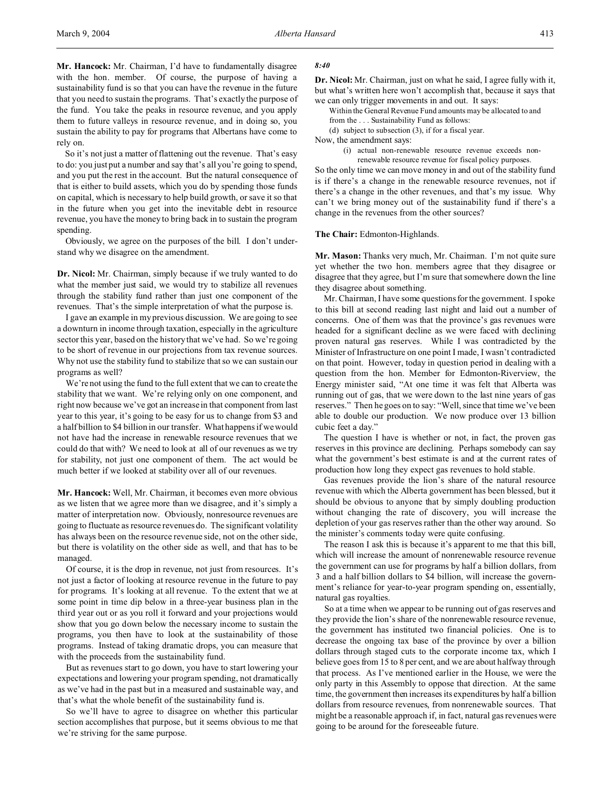**Mr. Hancock:** Mr. Chairman, I'd have to fundamentally disagree with the hon. member. Of course, the purpose of having a sustainability fund is so that you can have the revenue in the future that you need to sustain the programs. That's exactly the purpose of the fund. You take the peaks in resource revenue, and you apply them to future valleys in resource revenue, and in doing so, you sustain the ability to pay for programs that Albertans have come to rely on.

So it's not just a matter of flattening out the revenue. That's easy to do: you just put a number and say that's all you're going to spend, and you put the rest in the account. But the natural consequence of that is either to build assets, which you do by spending those funds on capital, which is necessary to help build growth, or save it so that in the future when you get into the inevitable debt in resource revenue, you have the money to bring back in to sustain the program spending.

Obviously, we agree on the purposes of the bill. I don't understand why we disagree on the amendment.

**Dr. Nicol:** Mr. Chairman, simply because if we truly wanted to do what the member just said, we would try to stabilize all revenues through the stability fund rather than just one component of the revenues. That's the simple interpretation of what the purpose is.

I gave an example in my previous discussion. We are going to see a downturn in income through taxation, especially in the agriculture sector this year, based on the history that we've had. So we're going to be short of revenue in our projections from tax revenue sources. Why not use the stability fund to stabilize that so we can sustain our programs as well?

We're not using the fund to the full extent that we can to create the stability that we want. We're relying only on one component, and right now because we've got an increase in that component from last year to this year, it's going to be easy for us to change from \$3 and a half billion to \$4 billion in our transfer. What happens if we would not have had the increase in renewable resource revenues that we could do that with? We need to look at all of our revenues as we try for stability, not just one component of them. The act would be much better if we looked at stability over all of our revenues.

**Mr. Hancock:** Well, Mr. Chairman, it becomes even more obvious as we listen that we agree more than we disagree, and it's simply a matter of interpretation now. Obviously, nonresource revenues are going to fluctuate as resource revenues do. The significant volatility has always been on the resource revenue side, not on the other side, but there is volatility on the other side as well, and that has to be managed.

Of course, it is the drop in revenue, not just from resources. It's not just a factor of looking at resource revenue in the future to pay for programs. It's looking at all revenue. To the extent that we at some point in time dip below in a three-year business plan in the third year out or as you roll it forward and your projections would show that you go down below the necessary income to sustain the programs, you then have to look at the sustainability of those programs. Instead of taking dramatic drops, you can measure that with the proceeds from the sustainability fund.

But as revenues start to go down, you have to start lowering your expectations and lowering your program spending, not dramatically as we've had in the past but in a measured and sustainable way, and that's what the whole benefit of the sustainability fund is.

So we'll have to agree to disagree on whether this particular section accomplishes that purpose, but it seems obvious to me that we're striving for the same purpose.

### *8:40*

**Dr. Nicol:** Mr. Chairman, just on what he said, I agree fully with it, but what's written here won't accomplish that, because it says that we can only trigger movements in and out. It says:

Within the General Revenue Fund amounts may be allocated to and from the . . . Sustainability Fund as follows:

(d) subject to subsection (3), if for a fiscal year.

Now, the amendment says:

(i) actual non-renewable resource revenue exceeds nonrenewable resource revenue for fiscal policy purposes.

So the only time we can move money in and out of the stability fund is if there's a change in the renewable resource revenues, not if there's a change in the other revenues, and that's my issue. Why can't we bring money out of the sustainability fund if there's a change in the revenues from the other sources?

**The Chair:** Edmonton-Highlands.

**Mr. Mason:** Thanks very much, Mr. Chairman. I'm not quite sure yet whether the two hon. members agree that they disagree or disagree that they agree, but I'm sure that somewhere down the line they disagree about something.

Mr. Chairman, I have some questions for the government. I spoke to this bill at second reading last night and laid out a number of concerns. One of them was that the province's gas revenues were headed for a significant decline as we were faced with declining proven natural gas reserves. While I was contradicted by the Minister of Infrastructure on one point I made, I wasn't contradicted on that point. However, today in question period in dealing with a question from the hon. Member for Edmonton-Riverview, the Energy minister said, "At one time it was felt that Alberta was running out of gas, that we were down to the last nine years of gas reserves." Then he goes on to say: "Well, since that time we've been able to double our production. We now produce over 13 billion cubic feet a day."

The question I have is whether or not, in fact, the proven gas reserves in this province are declining. Perhaps somebody can say what the government's best estimate is and at the current rates of production how long they expect gas revenues to hold stable.

Gas revenues provide the lion's share of the natural resource revenue with which the Alberta government has been blessed, but it should be obvious to anyone that by simply doubling production without changing the rate of discovery, you will increase the depletion of your gas reserves rather than the other way around. So the minister's comments today were quite confusing.

The reason I ask this is because it's apparent to me that this bill, which will increase the amount of nonrenewable resource revenue the government can use for programs by half a billion dollars, from 3 and a half billion dollars to \$4 billion, will increase the government's reliance for year-to-year program spending on, essentially, natural gas royalties.

So at a time when we appear to be running out of gas reserves and they provide the lion's share of the nonrenewable resource revenue, the government has instituted two financial policies. One is to decrease the ongoing tax base of the province by over a billion dollars through staged cuts to the corporate income tax, which I believe goes from 15 to 8 per cent, and we are about halfway through that process. As I've mentioned earlier in the House, we were the only party in this Assembly to oppose that direction. At the same time, the government then increases its expenditures by half a billion dollars from resource revenues, from nonrenewable sources. That might be a reasonable approach if, in fact, natural gas revenues were going to be around for the foreseeable future.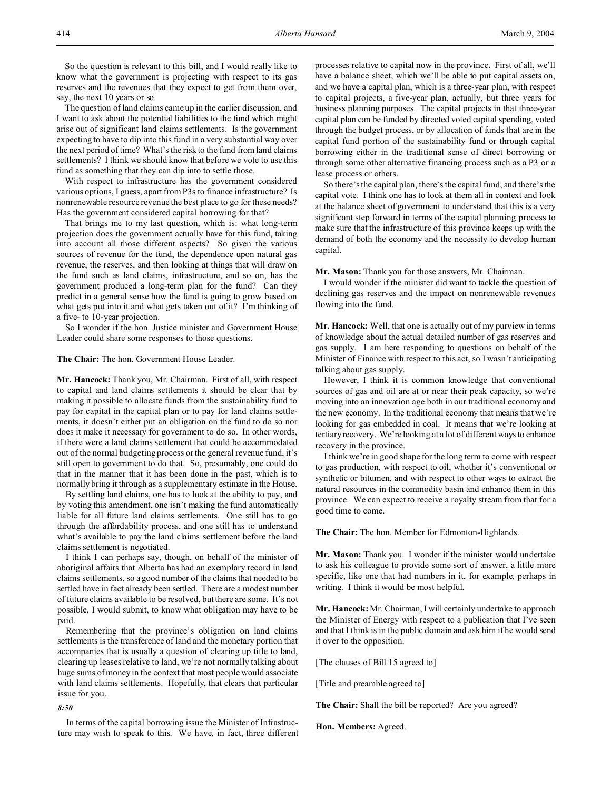So the question is relevant to this bill, and I would really like to know what the government is projecting with respect to its gas reserves and the revenues that they expect to get from them over, say, the next 10 years or so.

The question of land claims came up in the earlier discussion, and I want to ask about the potential liabilities to the fund which might arise out of significant land claims settlements. Is the government expecting to have to dip into this fund in a very substantial way over the next period of time? What's the risk to the fund from land claims settlements? I think we should know that before we vote to use this fund as something that they can dip into to settle those.

With respect to infrastructure has the government considered various options, I guess, apart from P3s to finance infrastructure? Is nonrenewable resource revenue the best place to go for these needs? Has the government considered capital borrowing for that?

That brings me to my last question, which is: what long-term projection does the government actually have for this fund, taking into account all those different aspects? So given the various sources of revenue for the fund, the dependence upon natural gas revenue, the reserves, and then looking at things that will draw on the fund such as land claims, infrastructure, and so on, has the government produced a long-term plan for the fund? Can they predict in a general sense how the fund is going to grow based on what gets put into it and what gets taken out of it? I'm thinking of a five- to 10-year projection.

So I wonder if the hon. Justice minister and Government House Leader could share some responses to those questions.

### **The Chair:** The hon. Government House Leader.

**Mr. Hancock:** Thank you, Mr. Chairman. First of all, with respect to capital and land claims settlements it should be clear that by making it possible to allocate funds from the sustainability fund to pay for capital in the capital plan or to pay for land claims settlements, it doesn't either put an obligation on the fund to do so nor does it make it necessary for government to do so. In other words, if there were a land claims settlement that could be accommodated out of the normal budgeting process or the general revenue fund, it's still open to government to do that. So, presumably, one could do that in the manner that it has been done in the past, which is to normally bring it through as a supplementary estimate in the House.

By settling land claims, one has to look at the ability to pay, and by voting this amendment, one isn't making the fund automatically liable for all future land claims settlements. One still has to go through the affordability process, and one still has to understand what's available to pay the land claims settlement before the land claims settlement is negotiated.

I think I can perhaps say, though, on behalf of the minister of aboriginal affairs that Alberta has had an exemplary record in land claims settlements, so a good number of the claims that needed to be settled have in fact already been settled. There are a modest number of future claims available to be resolved, but there are some. It's not possible, I would submit, to know what obligation may have to be paid.

Remembering that the province's obligation on land claims settlements is the transference of land and the monetary portion that accompanies that is usually a question of clearing up title to land, clearing up leases relative to land, we're not normally talking about huge sums of money in the context that most people would associate with land claims settlements. Hopefully, that clears that particular issue for you.

## *8:50*

In terms of the capital borrowing issue the Minister of Infrastructure may wish to speak to this. We have, in fact, three different

processes relative to capital now in the province. First of all, we'll have a balance sheet, which we'll be able to put capital assets on, and we have a capital plan, which is a three-year plan, with respect to capital projects, a five-year plan, actually, but three years for business planning purposes. The capital projects in that three-year capital plan can be funded by directed voted capital spending, voted through the budget process, or by allocation of funds that are in the capital fund portion of the sustainability fund or through capital borrowing either in the traditional sense of direct borrowing or through some other alternative financing process such as a P3 or a lease process or others.

So there's the capital plan, there's the capital fund, and there's the capital vote. I think one has to look at them all in context and look at the balance sheet of government to understand that this is a very significant step forward in terms of the capital planning process to make sure that the infrastructure of this province keeps up with the demand of both the economy and the necessity to develop human capital.

**Mr. Mason:** Thank you for those answers, Mr. Chairman.

I would wonder if the minister did want to tackle the question of declining gas reserves and the impact on nonrenewable revenues flowing into the fund.

**Mr. Hancock:** Well, that one is actually out of my purview in terms of knowledge about the actual detailed number of gas reserves and gas supply. I am here responding to questions on behalf of the Minister of Finance with respect to this act, so I wasn't anticipating talking about gas supply.

However, I think it is common knowledge that conventional sources of gas and oil are at or near their peak capacity, so we're moving into an innovation age both in our traditional economy and the new economy. In the traditional economy that means that we're looking for gas embedded in coal. It means that we're looking at tertiary recovery. We're looking at a lot of different ways to enhance recovery in the province.

I think we're in good shape for the long term to come with respect to gas production, with respect to oil, whether it's conventional or synthetic or bitumen, and with respect to other ways to extract the natural resources in the commodity basin and enhance them in this province. We can expect to receive a royalty stream from that for a good time to come.

**The Chair:** The hon. Member for Edmonton-Highlands.

**Mr. Mason:** Thank you. I wonder if the minister would undertake to ask his colleague to provide some sort of answer, a little more specific, like one that had numbers in it, for example, perhaps in writing. I think it would be most helpful.

**Mr. Hancock:** Mr. Chairman, I will certainly undertake to approach the Minister of Energy with respect to a publication that I've seen and that I think is in the public domain and ask him if he would send it over to the opposition.

[The clauses of Bill 15 agreed to]

[Title and preamble agreed to]

**The Chair:** Shall the bill be reported? Are you agreed?

**Hon. Members:** Agreed.